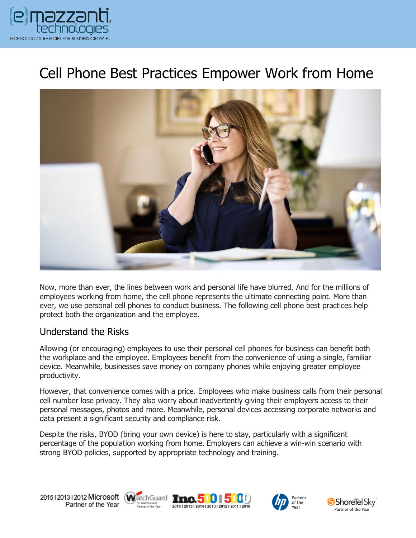

# Cell Phone Best Practices Empower Work from Home



Now, more than ever, the lines between work and personal life have blurred. And for the millions of employees working from home, the cell phone represents the ultimate connecting point. More than ever, we use personal cell phones to conduct business. The following cell phone best practices help protect both the organization and the employee.

#### Understand the Risks

Allowing (or encouraging) employees to use their personal cell phones for business can benefit both the workplace and the employee. Employees benefit from the convenience of using a single, familiar device. Meanwhile, businesses save money on company phones while enjoying greater employee productivity.

However, that convenience comes with a price. Employees who make business calls from their personal cell number lose privacy. They also worry about inadvertently giving their employers access to their personal messages, photos and more. Meanwhile, personal devices accessing corporate networks and data present a significant security and compliance risk.

Despite the risks, BYOD (bring your own device) is here to stay, particularly with a significant percentage of the population working from home. Employers can achieve a win-win scenario with strong BYOD policies, supported by appropriate technology and training.









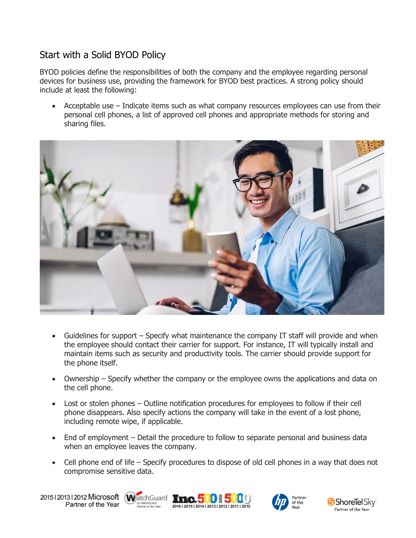# Start with a Solid BYOD Policy

BYOD policies define the responsibilities of both the company and the employee regarding personal devices for business use, providing the framework for BYOD best practices. A strong policy should include at least the following:

• Acceptable use – Indicate items such as what company resources employees can use from their personal cell phones, a list of approved cell phones and appropriate methods for storing and sharing files.



- Guidelines for support Specify what maintenance the company IT staff will provide and when the employee should contact their carrier for support. For instance, IT will typically install and maintain items such as security and productivity tools. The carrier should provide support for the phone itself.
- Ownership Specify whether the company or the employee owns the applications and data on the cell phone.
- Lost or stolen phones Outline notification procedures for employees to follow if their cell phone disappears. Also specify actions the company will take in the event of a lost phone, including remote wipe, if applicable.
- End of employment Detail the procedure to follow to separate personal and business data when an employee leaves the company.
- Cell phone end of life Specify procedures to dispose of old cell phones in a way that does not compromise sensitive data.

20151201312012 Microsoft WatchGuard Tnc. 500 500 Partner of the Year







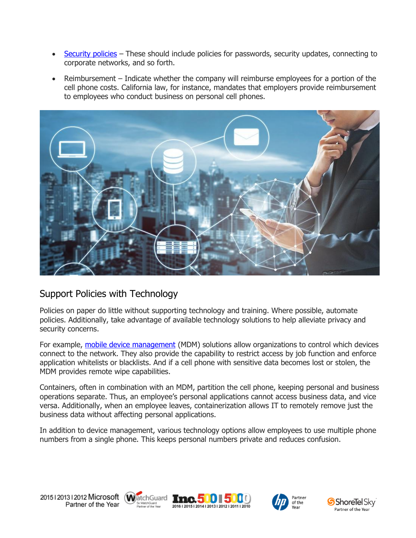- [Security policies](https://www.emazzanti.net/securing-mobile-devices/) These should include policies for passwords, security updates, connecting to corporate networks, and so forth.
- Reimbursement Indicate whether the company will reimburse employees for a portion of the cell phone costs. California law, for instance, mandates that employers provide reimbursement to employees who conduct business on personal cell phones.



### Support Policies with Technology

Policies on paper do little without supporting technology and training. Where possible, automate policies. Additionally, take advantage of available technology solutions to help alleviate privacy and security concerns.

For example, [mobile device management](https://www.emazzanti.net/law-firm-mobile-security-best-practices/) (MDM) solutions allow organizations to control which devices connect to the network. They also provide the capability to restrict access by job function and enforce application whitelists or blacklists. And if a cell phone with sensitive data becomes lost or stolen, the MDM provides remote wipe capabilities.

Containers, often in combination with an MDM, partition the cell phone, keeping personal and business operations separate. Thus, an employee's personal applications cannot access business data, and vice versa. Additionally, when an employee leaves, containerization allows IT to remotely remove just the business data without affecting personal applications.

In addition to device management, various technology options allow employees to use multiple phone numbers from a single phone. This keeps personal numbers private and reduces confusion.